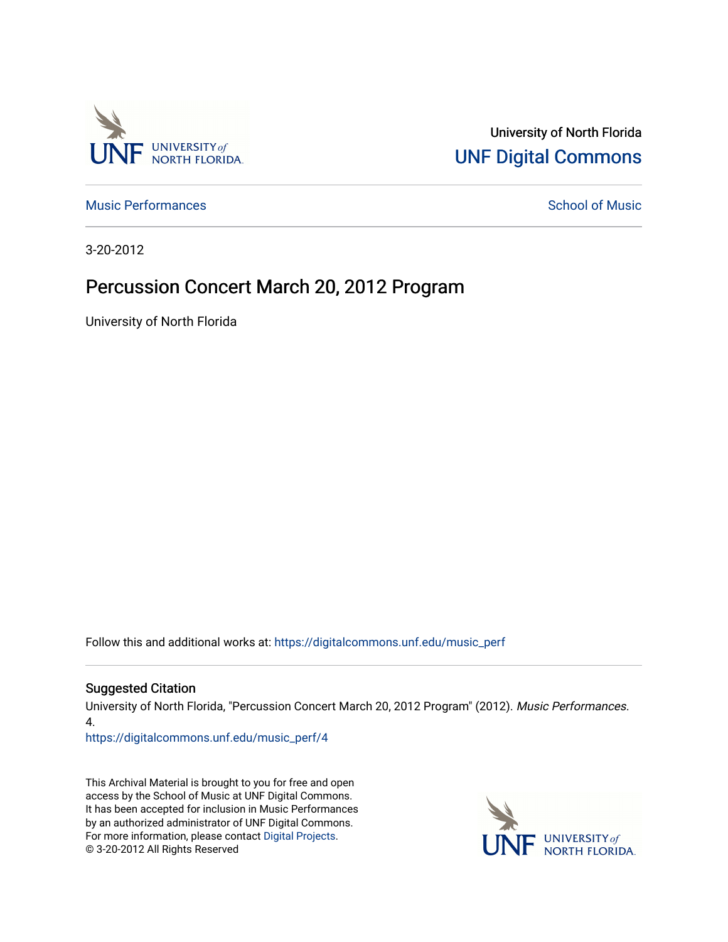

University of North Florida [UNF Digital Commons](https://digitalcommons.unf.edu/) 

[Music Performances](https://digitalcommons.unf.edu/music_perf) and [School of Music](https://digitalcommons.unf.edu/amus) Performances and School of Music Performances

3-20-2012

## Percussion Concert March 20, 2012 Program

University of North Florida

Follow this and additional works at: [https://digitalcommons.unf.edu/music\\_perf](https://digitalcommons.unf.edu/music_perf?utm_source=digitalcommons.unf.edu%2Fmusic_perf%2F4&utm_medium=PDF&utm_campaign=PDFCoverPages)

#### Suggested Citation

University of North Florida, "Percussion Concert March 20, 2012 Program" (2012). Music Performances. 4.

[https://digitalcommons.unf.edu/music\\_perf/4](https://digitalcommons.unf.edu/music_perf/4?utm_source=digitalcommons.unf.edu%2Fmusic_perf%2F4&utm_medium=PDF&utm_campaign=PDFCoverPages) 

This Archival Material is brought to you for free and open access by the School of Music at UNF Digital Commons. It has been accepted for inclusion in Music Performances by an authorized administrator of UNF Digital Commons. For more information, please contact [Digital Projects](mailto:lib-digital@unf.edu). © 3-20-2012 All Rights Reserved

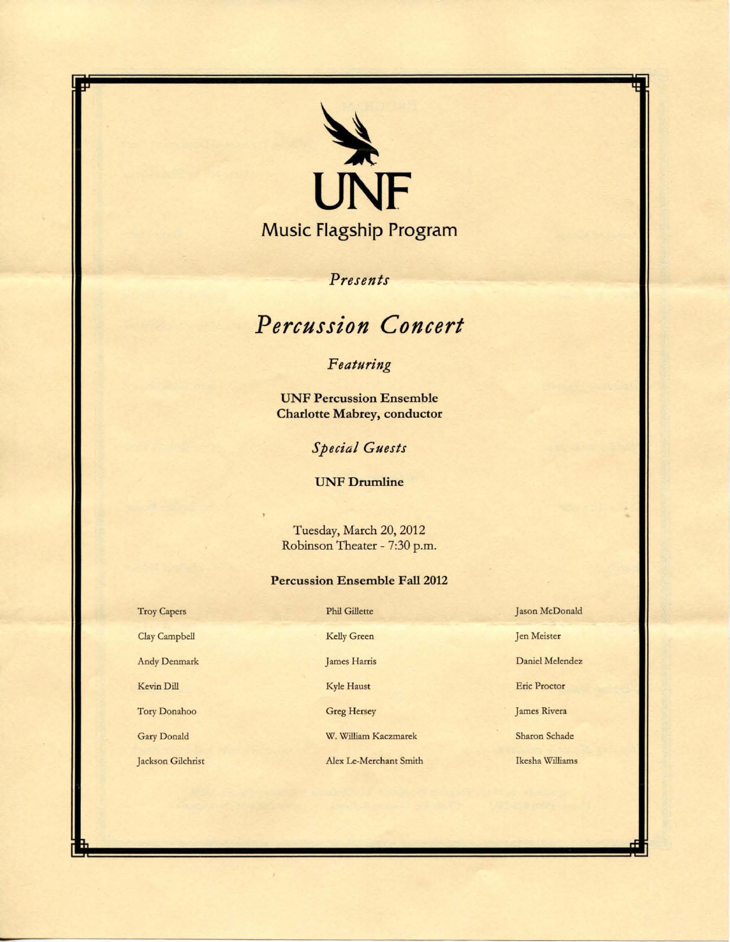

*Presents* 

# *Percussion Concert*

## *Featuring*

**UNF Percussion Ensemble Charlotte Mabrey, conductor** 

*Special Guests* 

**UNF Drumline** 

Tuesday, March 20, 2012 Robinson Theater - 7:30 p.m.

### **Percussion Ensemble** Fall 2012

| <b>Troy Capers</b> | <b>Phil Gillette</b>   | Jason McDonald      |
|--------------------|------------------------|---------------------|
| Clay Campbell      | Kelly Green            | Jen Meister         |
| Andy Denmark       | James Harris           | Daniel Melendez     |
| Kevin Dill         | Kyle Haust             | <b>Eric Proctor</b> |
| Tory Donahoo       | <b>Greg Hersey</b>     | James Rivera        |
| Gary Donald        | W. William Kaczmarek   | Sharon Schade       |
| Jackson Gilchrist  | Alex Le-Merchant Smith | Ikesha Williams     |

-

r ~ -